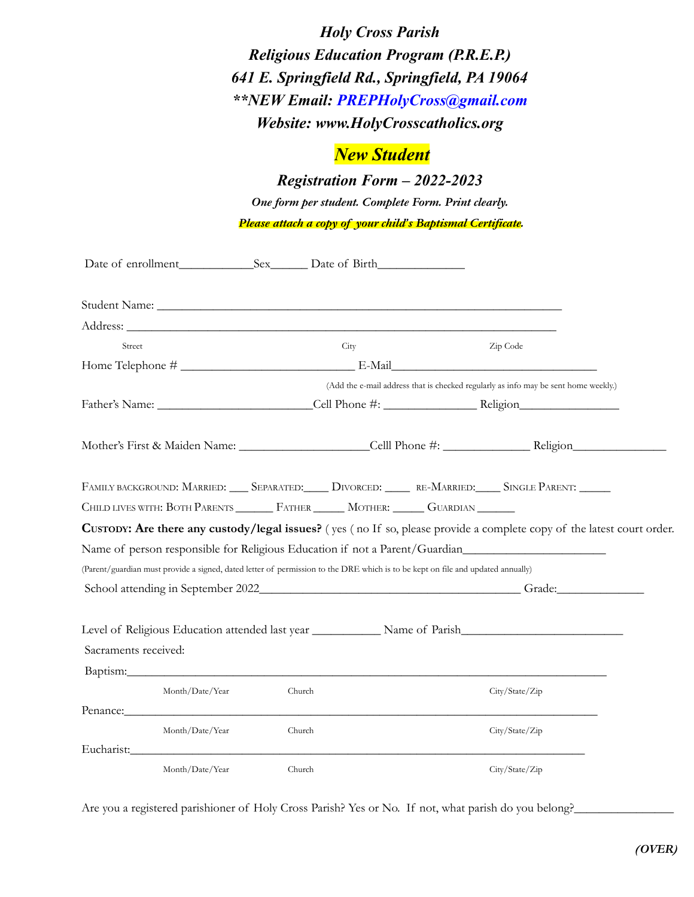*Holy Cross Parish Religious Education Program (P.R.E.P.) 641 E. Springfield Rd., Springfield, PA 19064 \*\*NEW Email: PREPHolyCross@gmail.com Website: www.HolyCrosscatholics.org*

## *New Student*

*Registration Form – 2022-2023*

*One form per student. Complete Form. Print clearly. Please attach a copy of your child's Baptismal Certificate.*

|                      | Date of enrollment Sex Date of Birth                                                                                                                                                                                           |        |      |                                                                                     |  |
|----------------------|--------------------------------------------------------------------------------------------------------------------------------------------------------------------------------------------------------------------------------|--------|------|-------------------------------------------------------------------------------------|--|
|                      |                                                                                                                                                                                                                                |        |      |                                                                                     |  |
|                      | Address: Andreas Address: Address: Address: Address: Address: Address: Address: Address: Address: Address: Address: Address: Address: Address: Address: Address: Address: Address: Address: Address: Address: Address: Address |        |      |                                                                                     |  |
| Street               |                                                                                                                                                                                                                                |        | City | Zip Code                                                                            |  |
|                      |                                                                                                                                                                                                                                |        |      |                                                                                     |  |
|                      |                                                                                                                                                                                                                                |        |      | (Add the e-mail address that is checked regularly as info may be sent home weekly.) |  |
|                      |                                                                                                                                                                                                                                |        |      |                                                                                     |  |
|                      |                                                                                                                                                                                                                                |        |      |                                                                                     |  |
|                      |                                                                                                                                                                                                                                |        |      |                                                                                     |  |
|                      |                                                                                                                                                                                                                                |        |      |                                                                                     |  |
|                      | FAMILY BACKGROUND: MARRIED: SEPARATED: DIVORCED: RE-MARRIED: SINGLE PARENT: ____                                                                                                                                               |        |      |                                                                                     |  |
|                      | CHILD LIVES WITH: BOTH PARENTS _______ FATHER ______ MOTHER: _____ GUARDIAN ______                                                                                                                                             |        |      |                                                                                     |  |
|                      | CUSTODY: Are there any custody/legal issues? (yes (no If so, please provide a complete copy of the latest court order.                                                                                                         |        |      |                                                                                     |  |
|                      | Name of person responsible for Religious Education if not a Parent/Guardian                                                                                                                                                    |        |      |                                                                                     |  |
|                      | (Parent/guardian must provide a signed, dated letter of permission to the DRE which is to be kept on file and updated annually)                                                                                                |        |      |                                                                                     |  |
|                      |                                                                                                                                                                                                                                |        |      |                                                                                     |  |
| Sacraments received: | Level of Religious Education attended last year ________________ Name of Parish_______________________________                                                                                                                 |        |      |                                                                                     |  |
|                      | Month/Date/Year                                                                                                                                                                                                                | Church |      | City/State/Zip                                                                      |  |
|                      | Penance:                                                                                                                                                                                                                       |        |      |                                                                                     |  |
|                      | Month/Date/Year                                                                                                                                                                                                                | Church |      | City / State / Zip                                                                  |  |
|                      | Eucharist: Eucharist:                                                                                                                                                                                                          |        |      |                                                                                     |  |
|                      | Month/Date/Year                                                                                                                                                                                                                | Church |      | City/State/Zip                                                                      |  |

Are you a registered parishioner of Holy Cross Parish? Yes or No. If not, what parish do you belong?